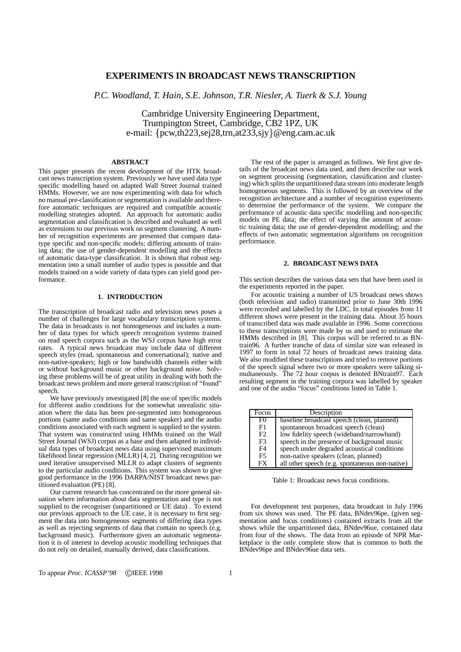# **EXPERIMENTS IN BROADCAST NEWS TRANSCRIPTION**

*P.C. Woodland, T. Hain, S.E. Johnson, T.R. Niesler, A. Tuerk & S.J. Young*

Cambridge University Engineering Department, Trumpington Street, Cambridge, CB2 1PZ, UK e-mail: {pcw,th223,sej28,trn,at233,sjy}@eng.cam.ac.uk

## **ABSTRACT**

This paper presents the recent development of the HTK broadcast news transcription system. Previously we have used data type specific modelling based on adapted Wall Street Journal trained HMMs. However, we are now experimenting with data for which no manual pre-classification orsegmentation is available and therefore automatic techniques are required and compatible acoustic modelling strategies adopted. An approach for automatic audio segmentation and classification is described and evaluated as well as extensions to our previous work on segment clustering. A number of recognition experiments are presented that compare datatype specific and non-specific models; differing amounts of training data; the use of gender-dependent modelling and the effects of automatic data-type classification. It is shown that robust segmentation into a small number of audio types is possible and that models trained on a wide variety of data types can yield good performance.

# **1. INTRODUCTION**

The transcription of broadcast radio and television news poses a number of challenges for large vocabulary transcription systems. The data in broadcasts is not homogeneous and includes a number of data types for which speech recognition systems trained on read speech corpora such as the WSJ corpus have high error rates. A typical news broadcast may include data of different speech styles (read, spontaneous and conversational); native and non-native-speakers; high or low bandwidth channels either with or without background music or other background noise. Solving these problems will be of great utility in dealing with both the broadcast news problem and more general transcription of "found" speech.

We have previously investigated [8] the use of specific models for different audio conditions for the somewhat unrealistic situation where the data has been pre-segmented into homogeneous portions (same audio conditions and same speaker) and the audio conditions associated with each segment is supplied to the system. That system was constructed using HMMs trained on the Wall Street Journal (WSJ) corpus as a base and then adapted to individual data types of broadcast news data using supervised maximum likelihood linear regression (MLLR) [4, 2]. During recognition we used iterative unsupervised MLLR to adapt clusters of segments to the particular audio conditions. This system was shown to give good performance in the 1996 DARPA/NIST broadcast news partitioned evaluation (PE) [8].

Our current research has concentrated on the more general situation where information about data segmentation and type is not supplied to the recogniser (unpartitioned or UE data) . To extend our previous approach to the UE case, it is necessary to first segment the data into homogeneous segments of differing data types as well as rejecting segments of data that contain no speech (e.g. background music). Furthermore given an automatic segmentation it is of interest to develop acoustic modelling techniques that do not rely on detailed, manually derived, data classifications.

The rest of the paper is arranged as follows. We first give details of the broadcast news data used, and then describe our work on segment processing (segmentation, classification and clustering) which splits the unpartitioned data stream into moderate length homogeneous segments. This is followed by an overview of the recognition architecture and a number of recognition experiments to determine the performance of the system. We compare the performance of acoustic data specific modelling and non-specific models on PE data; the effect of varying the amount of acoustic training data; the use of gender-dependent modelling; and the effects of two automatic segmentation algorithms on recognition performance.

#### **2. BROADCAST NEWS DATA**

This section describes the various data sets that have been used in the experiments reported in the paper.

For acoustic training a number of US broadcast news shows (both television and radio) transmitted prior to June 30th 1996 were recorded and labelled by the LDC. In total episodes from 11 different shows were present in the training data. About 35 hours of transcribed data was made available in 1996. Some corrections to these transcriptions were made by us and used to estimate the HMMs described in [8]. This corpus will be referred to as BNtrain96. A further tranche of data of similar size was released in 1997 to form in total 72 hours of broadcast news training data. We also modified these transcriptions and tried to remove portions of the speech signal where two or more speakers were talking simultaneously. The 72 hour corpus is denoted BNtrain97. Each resulting segment in the training corpora was labelled by speaker and one of the audio "focus" conditions listed in Table 1.

| Focus          | Description                                    |
|----------------|------------------------------------------------|
| F <sub>0</sub> | baseline broadcast speech (clean, planned)     |
| F1             | spontaneous broadcast speech (clean)           |
| F2             | low fidelity speech (wideband/narrowband)      |
| F <sub>3</sub> | speech in the presence of background music     |
| F <sub>4</sub> | speech under degraded acoustical conditions    |
| F <sub>5</sub> | non-native speakers (clean, planned)           |
| FX             | all other speech (e.g. spontaneous non-native) |

Table 1: Broadcast news focus conditions.

For development test purposes, data broadcast in July 1996 from six shows was used. The PE data, BNdev96pe, (given segmentation and focus conditions) contained extracts from all the shows while the unpartitioned data, BNdev96ue, contained data from four of the shows. The data from an episode of NPR Marketplace is the only complete show that is common to both the BNdev96pe and BNdev96ue data sets.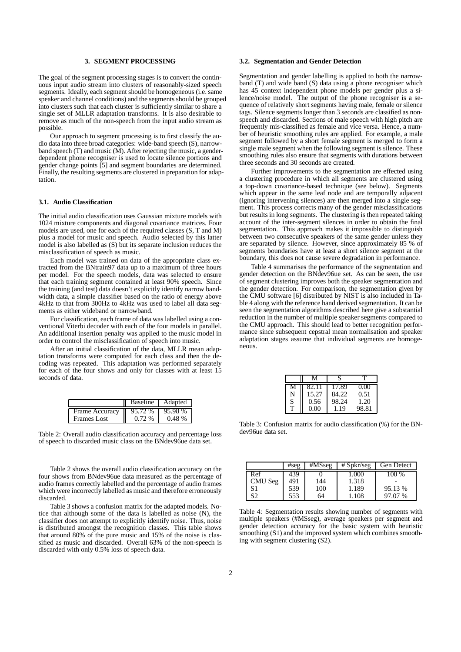#### **3. SEGMENT PROCESSING**

The goal of the segment processing stages is to convert the continuous input audio stream into clusters of reasonably-sized speech segments. Ideally, each segment should be homogeneous (i.e. same speaker and channel conditions) and the segments should be grouped into clusters such that each cluster is sufficiently similar to share a single set of MLLR adaptation transforms. It is also desirable to remove as much of the non-speech from the input audio stream as possible.

Our approach to segment processing is to first classify the audio data into three broad categories: wide-band speech (S), narrowband speech (T) and music (M). After rejecting the music, a genderdependent phone recogniser is used to locate silence portions and gender change points [5] and segment boundaries are determined. Finally, the resulting segments are clustered in preparation for adaptation.

### **3.1. Audio Classification**

The initial audio classification uses Gaussian mixture models with 1024 mixture components and diagonal covariance matrices. Four models are used, one for each of the required classes (S, T and M) plus a model for music and speech. Audio selected by this latter model is also labelled as (S) but its separate inclusion reduces the misclassification of speech as music.

Each model was trained on data of the appropriate class extracted from the BNtrain97 data up to a maximum of three hours per model. For the speech models, data was selected to ensure that each training segment contained at least 90% speech. Since the training (and test) data doesn't explicitly identify narrow bandwidth data, a simple classifier based on the ratio of energy above 4kHz to that from 300Hz to 4kHz was used to label all data segments as either wideband or narrowband.

For classification, each frame of data was labelled using a conventional Viterbi decoder with each of the four models in parallel. An additional insertion penalty was applied to the music model in order to control the misclassification of speech into music.

After an initial classification of the data, MLLR mean adaptation transforms were computed for each class and then the decoding was repeated. This adaptation was performed separately for each of the four shows and only for classes with at least 15 seconds of data.

|                       | Baseline   Adapted |         |
|-----------------------|--------------------|---------|
| <b>Frame Accuracy</b> | $95.72\,\%$        | 95.98 % |
| Frames Lost           | $0.72\%$           | 0.48%   |

Table 2: Overall audio classification accuracy and percentage loss of speech to discarded music class on the BNdev96ue data set.

Table 2 shows the overall audio classification accuracy on the four shows from BNdev96ue data measured as the percentage of audio frames correctly labelled and the percentage of audio frames which were incorrectly labelled as music and therefore erroneously discarded.

Table 3 shows a confusion matrix for the adapted models. Notice that although some of the data is labelled as noise  $(N)$ , the classifier does not attempt to explicitly identify noise. Thus, noise is distributed amongst the recognition classes. This table shows that around 80% of the pure music and 15% of the noise is classified as music and discarded. Overall 63% of the non-speech is discarded with only 0.5% loss of speech data.

#### **3.2. Segmentation and Gender Detection**

Segmentation and gender labelling is applied to both the narrowband (T) and wide band (S) data using a phone recogniser which has 45 context independent phone models per gender plus a silence/noise model. The output of the phone recogniser is a sequence of relatively short segments having male, female or silence tags. Silence segments longer than 3 seconds are classified as nonspeech and discarded. Sections of male speech with high pitch are frequently mis-classified as female and vice versa. Hence, a number of heuristic smoothing rules are applied. For example, a male segment followed by a short female segment is merged to form a single male segment when the following segment is silence. These smoothing rules also ensure that segments with durations between three seconds and 30 seconds are created.

Further improvements to the segmentation are effected using a clustering procedure in which all segments are clustered using a top-down covariance-based technique (see below). Segments which appear in the same leaf node and are temporally adjacent (ignoring intervening silences) are then merged into a single segment. This process corrects many of the gender misclassifications but results in long segments. The clustering is then repeated taking account of the inter-segment silences in order to obtain the final segmentation. This approach makes it impossible to distinguish between two consecutive speakers of the same gender unless they are separated by silence. However, since approximately 85 % of segments boundaries have at least a short silence segment at the boundary, this does not cause severe degradation in performance.

Table 4 summarises the performance of the segmentation and gender detection on the BNdev96ue set. As can be seen, the use of segment clustering improves both the speaker segmentation and the gender detection. For comparison, the segmentation given by the CMU software [6] distributed by NIST is also included in Table 4 along with the reference hand derived segmentation. It can be seen the segmentation algorithms described here give a substantial reduction in the number of multiple speaker segments compared to the CMU approach. This should lead to better recognition performance since subsequent cepstral mean normalisation and speaker adaptation stages assume that individual segments are homogeneous.

|   | 82.11 | 17.89 | 0.00  |
|---|-------|-------|-------|
| N | 15.27 | 84.22 | 0.51  |
| S | 0.56  | 98.24 | 1.20  |
| т | 0.00  | 1.19  | 98.81 |

Table 3: Confusion matrix for audio classification (%) for the BNdev96ue data set.

|         | #seg | #MSseg | $#$ Spkr/seg | <b>Gen Detect</b> |
|---------|------|--------|--------------|-------------------|
| Ref     | 439  |        | .000         | $100\%$           |
| CMU Seg | 491  | 144    | 1.318        |                   |
| S1      | 539  | 100    | 1.189        | 95.13 %           |
| S2      | 553  | 64     | 1.108        | 97.07 %           |

Table 4: Segmentation results showing number of segments with multiple speakers (#MSseg), average speakers per segment and gender detection accuracy for the basic system with heuristic smoothing (S1) and the improved system which combines smoothing with segment clustering (S2).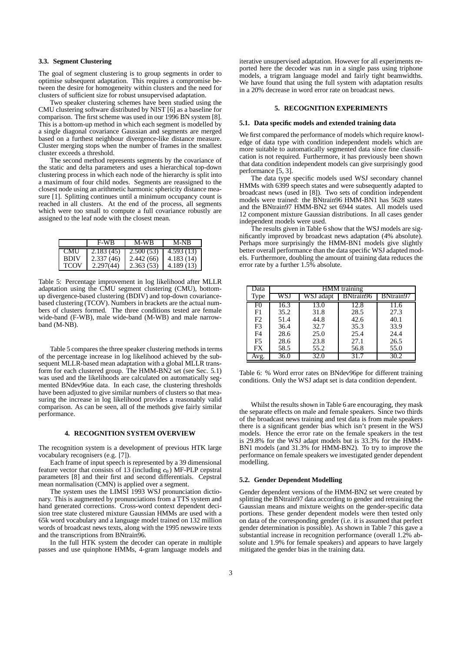### **3.3. Segment Clustering**

The goal of segment clustering is to group segments in order to optimise subsequent adaptation. This requires a compromise between the desire for homogeneity within clusters and the need for clusters of sufficient size for robust unsupervised adaptation.

Two speaker clustering schemes have been studied using the CMU clustering software distributed by NIST [6] as a baseline for comparison. The first scheme was used in our 1996 BN system [8]. This is a bottom-up method in which each segment is modelled by a single diagonal covariance Gaussian and segments are merged based on a furthest neighbour divergence-like distance measure. Cluster merging stops when the number of frames in the smallest cluster exceeds a threshold.

The second method represents segments by the covariance of the static and delta parameters and uses a hierarchical top-down clustering process in which each node of the hierarchy is split into a maximum of four child nodes. Segments are reassigned to the closest node using an arithmetic harmonic sphericity distance measure [1]. Splitting continues until a minimum occupancy count is reached in all clusters. At the end of the process, all segments which were too small to compute a full covariance robustly are assigned to the leaf node with the closest mean.

|             | <b>F-WB</b> | M-WB      | M-NB       |
|-------------|-------------|-----------|------------|
| <b>CMU</b>  | 2.183(45)   | 2.500(53) | 4.593 (13) |
| <b>BDIV</b> | 2.337(46)   | 2.442(66) | 4.183(14)  |
| TCOV        | 2.297(44)   | 2.363(53) | 4.189(13)  |

Table 5: Percentage improvement in log likelihood after MLLR adaptation using the CMU segment clustering (CMU), bottomup divergence-based clustering (BDIV) and top-down covariancebased clustering (TCOV). Numbers in brackets are the actual numbers of clusters formed. The three conditions tested are female wide-band (F-WB), male wide-band (M-WB) and male narrowband (M-NB).

Table 5 compares the three speaker clustering methods in terms of the percentage increase in log likelihood achieved by the subsequent MLLR-based mean adaptation with a global MLLR transform for each clustered group. The HMM-BN2 set (see Sec. 5.1) was used and the likelihoods are calculated on automatically segmented BNdev96ue data. In each case, the clustering thresholds have been adjusted to give similar numbers of clusters so that measuring the increase in log likelihood provides a reasonably valid comparison. As can be seen, all of the methods give fairly similar performance.

#### **4. RECOGNITION SYSTEM OVERVIEW**

The recognition system is a development of previous HTK large vocabulary recognisers (e.g. [7]).

Each frame of input speech is represented by a 39 dimensional feature vector that consists of 13 (including  $c_0$ ) MF-PLP cepstral parameters [8] and their first and second differentials. Cepstral mean normalisation (CMN) is applied over a segment.

The system uses the LIMSI 1993 WSJ pronunciation dictionary. This is augmented by pronunciations from a TTS system and hand generated corrections. Cross-word context dependent decision tree state clustered mixture Gaussian HMMs are used with a 65k word vocabulary and a language model trained on 132 million words of broadcast news texts, along with the 1995 newswire texts and the transcriptions from BNtrain96.

In the full HTK system the decoder can operate in multiple passes and use quinphone HMMs, 4-gram language models and iterative unsupervised adaptation. However for all experiments reported here the decoder was run in a single pass using triphone models, a trigram language model and fairly tight beamwidths. We have found that using the full system with adaptation results in a 20% decrease in word error rate on broadcast news.

### **5. RECOGNITION EXPERIMENTS**

#### **5.1. Data specific models and extended training data**

We first compared the performance of models which require knowledge of data type with condition independent models which are more suitable to automatically segmented data since fine classification is not required. Furthermore, it has previously been shown that data condition independent models can give surprisingly good performance [5, 3].

The data type specific models used WSJ secondary channel HMMs with 6399 speech states and were subsequently adapted to broadcast news (used in [8]). Two sets of condition independent models were trained: the BNtrain96 HMM-BN1 has 5628 states and the BNtrain97 HMM-BN2 set 6944 states. All models used 12 component mixture Gaussian distributions. In all cases gender independent models were used.

The results given in Table 6 show that the WSJ models are significantly improved by broadcast news adaptation (4% absolute). Perhaps more surprisingly the HMM-BN1 models give slightly better overall performance than the data specific WSJ adapted models. Furthermore, doubling the amount of training data reduces the error rate by a further 1.5% absolute.

| Data           | <b>HMM</b> training |           |           |           |
|----------------|---------------------|-----------|-----------|-----------|
| <b>Type</b>    |                     | WSJ adapt | BNtrain96 | BNtrain97 |
| F0             | 16.3                | 13.0      | 12.8      | 11.6      |
| F1             | 35.2                | 31.8      | 28.5      | 27.3      |
| F <sub>2</sub> | 51.4                | 44.8      | 42.6      | 40.1      |
| F <sub>3</sub> | 36.4                | 32.7      | 35.3      | 33.9      |
| F4             | 28.6                | 25.0      | 25.4      | 24.4      |
| F <sub>5</sub> | 28.6                | 23.8      | 27.1      | 26.5      |
| <b>FX</b>      | 58.5                | 55.2      | 56.8      | 55.0      |
|                | 36.0                |           |           | 30.2      |

Table 6: % Word error rates on BNdev96pe for different training conditions. Only the WSJ adapt set is data condition dependent.

Whilst the results shown in Table 6 are encouraging, they mask the separate effects on male and female speakers. Since two thirds of the broadcast news training and test data is from male speakers there is a significant gender bias which isn't present in the WSJ models. Hence the error rate on the female speakers in the test is 29.8% for the WSJ adapt models but is 33.3% for the HMM-BN1 models (and 31.3% for HMM-BN2). To try to improve the performance on female speakers we investigated gender dependent modelling.

#### **5.2. Gender Dependent Modelling**

Gender dependent versions of the HMM-BN2 set were created by splitting the BNtrain97 data according to gender and retraining the Gaussian means and mixture weights on the gender-specific data portions. These gender dependent models were then tested only on data of the corresponding gender (i.e. it is assumed that perfect gender determination is possible). As shown in Table 7 this gave a substantial increase in recognition performance (overall 1.2% absolute and 1.9% for female speakers) and appears to have largely mitigated the gender bias in the training data.